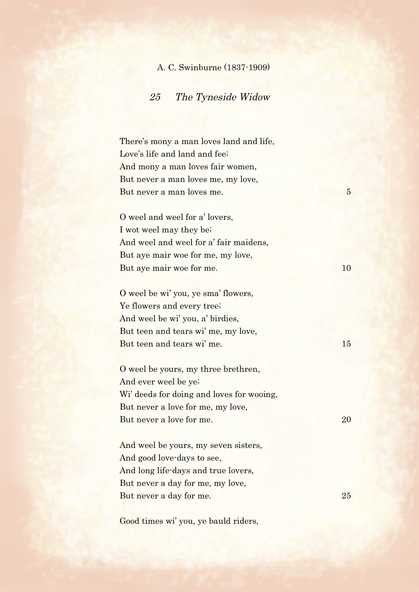## A. C. Swinburne (1837-1909)

## 25 The Tyneside Widow

There's mony a man loves land and life, Love's life and land and fee; And mony a man loves fair women, But never a man loves me, my love, But never a man loves me. 5

O weel and weel for a' lovers, I wot weel may they be; And weel and weel for a' fair maidens, But aye mair woe for me, my love, But aye mair woe for me. 10

O weel be wi' you, ye sma' flowers, Ye flowers and every tree; And weel be wi' you, a' birdies, But teen and tears wi' me, my love, But teen and tears wi' me. 15

O weel be yours, my three brethren, And ever weel be ye; Wi' deeds for doing and loves for wooing, But never a love for me, my love, But never a love for me. 20

And weel be yours, my seven sisters, And good love-days to see, And long life-days and true lovers, But never a day for me, my love, But never a day for me. 25

Good times wi' you, ye bauld riders,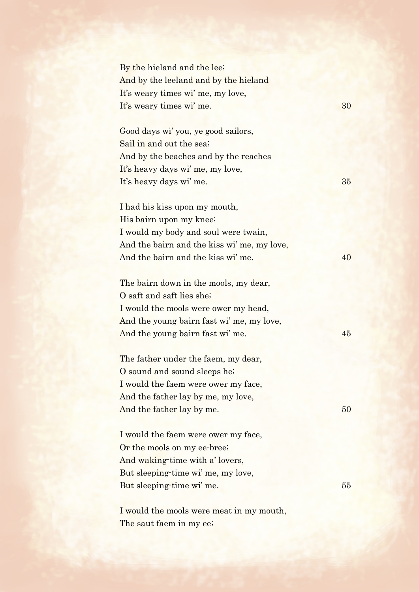By the hieland and the lee; And by the leeland and by the hieland It's weary times wi' me, my love, It's weary times wi' me. 30

Good days wi' you, ye good sailors, Sail in and out the sea; And by the beaches and by the reaches It's heavy days wi' me, my love, It's heavy days wi' me. 35

I had his kiss upon my mouth, His bairn upon my knee; I would my body and soul were twain, And the bairn and the kiss wi' me, my love, And the bairn and the kiss wi' me. 40

The bairn down in the mools, my dear, O saft and saft lies she; I would the mools were ower my head, And the young bairn fast wi' me, my love, And the young bairn fast wi' me. 45

The father under the faem, my dear, O sound and sound sleeps he; I would the faem were ower my face, And the father lay by me, my love, And the father lay by me. 50

I would the faem were ower my face, Or the mools on my ee-bree; And waking-time with a' lovers, But sleeping-time wi' me, my love, But sleeping-time wi' me. 55

I would the mools were meat in my mouth, The saut faem in my ee;